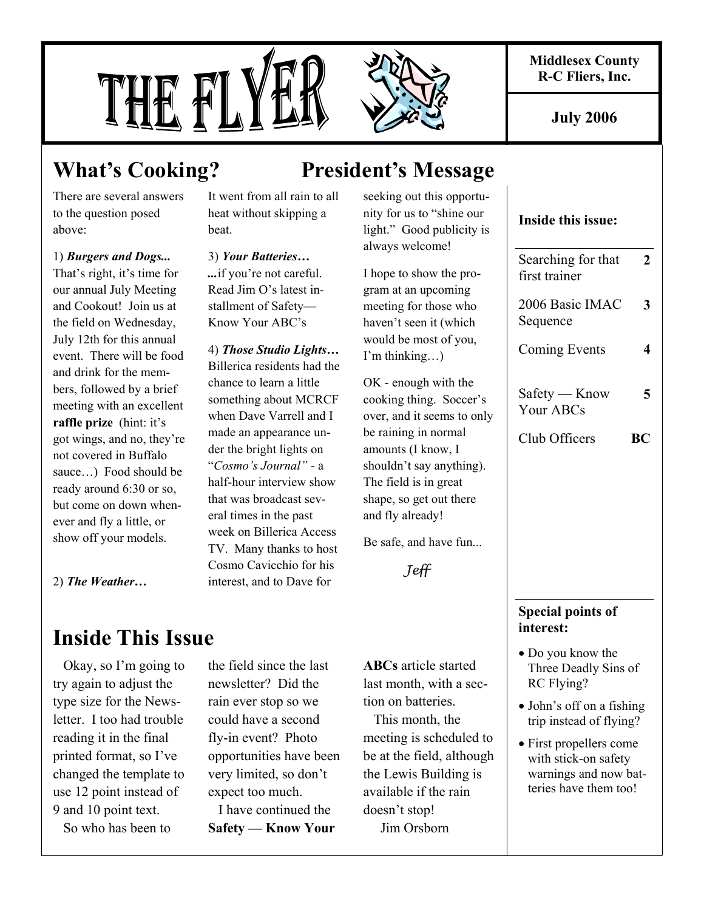**Middlesex County R-C Fliers, Inc.** 

**July 2006** 

# THE FL



There are several answers to the question posed above:

1) *Burgers and Dogs...* That's right, it's time for our annual July Meeting and Cookout! Join us at the field on Wednesday, July 12th for this annual event. There will be food and drink for the members, followed by a brief meeting with an excellent **raffle prize** (hint: it's got wings, and no, they're not covered in Buffalo sauce…) Food should be ready around 6:30 or so, but come on down whenever and fly a little, or show off your models.

It went from all rain to all heat without skipping a beat.

3) *Your Batteries… ...*if you're not careful. Read Jim O's latest installment of Safety— Know Your ABC's

4) *Those Studio Lights…*  Billerica residents had the chance to learn a little something about MCRCF when Dave Varrell and I made an appearance under the bright lights on "*Cosmo's Journal"* - a half-hour interview show that was broadcast several times in the past week on Billerica Access TV. Many thanks to host Cosmo Cavicchio for his interest, and to Dave for

# **What's Cooking? President's Message**

seeking out this opportunity for us to "shine our light." Good publicity is always welcome!

I hope to show the program at an upcoming meeting for those who haven't seen it (which would be most of you, I'm thinking…)

OK - enough with the cooking thing. Soccer's over, and it seems to only be raining in normal amounts (I know, I shouldn't say anything). The field is in great shape, so get out there and fly already!

Be safe, and have fun...

Jeff

# **Inside This Issue**

2) *The Weather…* 

 Okay, so I'm going to try again to adjust the type size for the Newsletter. I too had trouble reading it in the final printed format, so I've changed the template to use 12 point instead of 9 and 10 point text.

So who has been to

the field since the last newsletter? Did the rain ever stop so we could have a second fly-in event? Photo opportunities have been very limited, so don't expect too much.

 I have continued the **Safety — Know Your**  **ABCs** article started last month, with a section on batteries.

 This month, the meeting is scheduled to be at the field, although the Lewis Building is available if the rain doesn't stop! Jim Orsborn

# **Inside this issue:**

| Searching for that<br>first trainer | 2 |
|-------------------------------------|---|
| 2006 Basic IMAC<br>Sequence         | З |
| Coming Events                       |   |
| Safety — Know<br>Your ABCs          | 5 |
| Club Officers                       | R |

# **Special points of interest:**

- Do you know the Three Deadly Sins of RC Flying?
- John's off on a fishing trip instead of flying?
- First propellers come with stick-on safety warnings and now batteries have them too!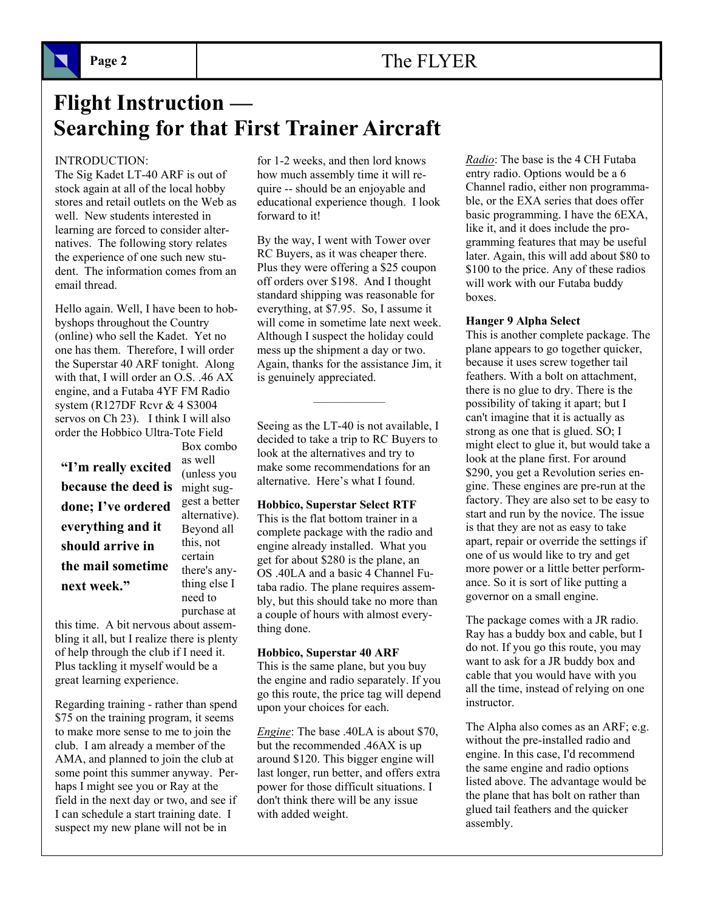# Page 2 **The FLYER**

# **Flight Instruction — Searching for that First Trainer Aircraft**

# INTRODUCTION:

The Sig Kadet LT-40 ARF is out of stock again at all of the local hobby stores and retail outlets on the Web as well. New students interested in learning are forced to consider alternatives. The following story relates the experience of one such new student. The information comes from an email thread.

Hello again. Well, I have been to hobbyshops throughout the Country (online) who sell the Kadet. Yet no one has them. Therefore, I will order the Superstar 40 ARF tonight. Along with that, I will order an O.S. .46 AX engine, and a Futaba 4YF FM Radio system (R127DF Rcvr & 4 S3004 servos on Ch 23). I think I will also order the Hobbico Ultra-Tote Field

**because the deed is** might sug-**"I'm really excited done; I've ordered everything and it should arrive in the mail sometime next week."** 

Box combo as well (unless you gest a better alternative). Beyond all this, not certain there's anything else I need to purchase at

this time. A bit nervous about assembling it all, but I realize there is plenty of help through the club if I need it. Plus tackling it myself would be a great learning experience.

Regarding training - rather than spend \$75 on the training program, it seems to make more sense to me to join the club. I am already a member of the AMA, and planned to join the club at some point this summer anyway. Perhaps I might see you or Ray at the field in the next day or two, and see if I can schedule a start training date. I suspect my new plane will not be in

for 1-2 weeks, and then lord knows how much assembly time it will require -- should be an enjoyable and educational experience though. I look forward to it!

By the way, I went with Tower over RC Buyers, as it was cheaper there. Plus they were offering a \$25 coupon off orders over \$198. And I thought standard shipping was reasonable for everything, at \$7.95. So, I assume it will come in sometime late next week. Although I suspect the holiday could mess up the shipment a day or two. Again, thanks for the assistance Jim, it is genuinely appreciated.

Seeing as the LT-40 is not available, I decided to take a trip to RC Buyers to look at the alternatives and try to make some recommendations for an alternative. Here's what I found.

——————

# **Hobbico, Superstar Select RTF**

This is the flat bottom trainer in a complete package with the radio and engine already installed. What you get for about \$280 is the plane, an OS .40LA and a basic 4 Channel Futaba radio. The plane requires assembly, but this should take no more than a couple of hours with almost everything done.

### **Hobbico, Superstar 40 ARF**

This is the same plane, but you buy the engine and radio separately. If you go this route, the price tag will depend upon your choices for each.

*Engine*: The base .40LA is about \$70, but the recommended .46AX is up around \$120. This bigger engine will last longer, run better, and offers extra power for those difficult situations. I don't think there will be any issue with added weight.

*Radio*: The base is the 4 CH Futaba entry radio. Options would be a 6 Channel radio, either non programmable, or the EXA series that does offer basic programming. I have the 6EXA, like it, and it does include the programming features that may be useful later. Again, this will add about \$80 to \$100 to the price. Any of these radios will work with our Futaba buddy boxes.

### **Hanger 9 Alpha Select**

This is another complete package. The plane appears to go together quicker, because it uses screw together tail feathers. With a bolt on attachment, there is no glue to dry. There is the possibility of taking it apart; but I can't imagine that it is actually as strong as one that is glued. SO; I might elect to glue it, but would take a look at the plane first. For around \$290, you get a Revolution series engine. These engines are pre-run at the factory. They are also set to be easy to start and run by the novice. The issue is that they are not as easy to take apart, repair or override the settings if one of us would like to try and get more power or a little better performance. So it is sort of like putting a governor on a small engine.

The package comes with a JR radio. Ray has a buddy box and cable, but I do not. If you go this route, you may want to ask for a JR buddy box and cable that you would have with you all the time, instead of relying on one instructor.

The Alpha also comes as an ARF; e.g. without the pre-installed radio and engine. In this case, I'd recommend the same engine and radio options listed above. The advantage would be the plane that has bolt on rather than glued tail feathers and the quicker assembly.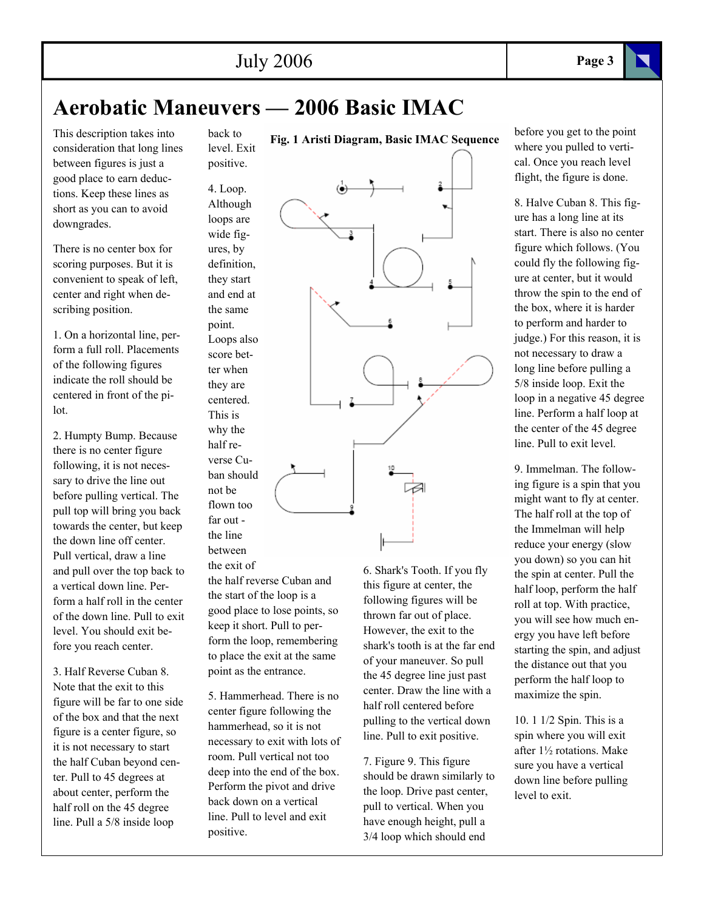# **Aerobatic Maneuvers — 2006 Basic IMAC**

This description takes into consideration that long lines between figures is just a good place to earn deductions. Keep these lines as short as you can to avoid downgrades.

There is no center box for scoring purposes. But it is convenient to speak of left, center and right when describing position.

1. On a horizontal line, perform a full roll. Placements of the following figures indicate the roll should be centered in front of the pilot.

2. Humpty Bump. Because there is no center figure following, it is not necessary to drive the line out before pulling vertical. The pull top will bring you back towards the center, but keep the down line off center. Pull vertical, draw a line and pull over the top back to a vertical down line. Perform a half roll in the center of the down line. Pull to exit level. You should exit before you reach center.

3. Half Reverse Cuban 8. Note that the exit to this figure will be far to one side of the box and that the next figure is a center figure, so it is not necessary to start the half Cuban beyond center. Pull to 45 degrees at about center, perform the half roll on the 45 degree line. Pull a 5/8 inside loop

back to level. Exit positive.

4. Loop.

Although loops are wide figures, by definition, they start and end at the same point. Loops also score better when they are centered. This is why the half reverse Cuban should not be flown too

the line between

far out -

the exit of the half reverse Cuban and the start of the loop is a good place to lose points, so keep it short. Pull to perform the loop, remembering to place the exit at the same point as the entrance.

5. Hammerhead. There is no center figure following the hammerhead, so it is not necessary to exit with lots of room. Pull vertical not too deep into the end of the box. Perform the pivot and drive back down on a vertical line. Pull to level and exit positive.

**Fig. 1 Aristi Diagram, Basic IMAC Sequence** 

6. Shark's Tooth. If you fly thrown far out of place. However, the exit to the shark's tooth is at the far end of your maneuver. So pull the 45 degree line just past center. Draw the line with a half roll centered before pulling to the vertical down line. Pull to exit positive.

7. Figure 9. This figure should be drawn similarly to the loop. Drive past center, pull to vertical. When you have enough height, pull a 3/4 loop which should end

before you get to the point where you pulled to vertical. Once you reach level flight, the figure is done.

8. Halve Cuban 8. This figure has a long line at its start. There is also no center figure which follows. (You could fly the following figure at center, but it would throw the spin to the end of the box, where it is harder to perform and harder to judge.) For this reason, it is not necessary to draw a long line before pulling a 5/8 inside loop. Exit the loop in a negative 45 degree line. Perform a half loop at the center of the 45 degree line. Pull to exit level.

9. Immelman. The following figure is a spin that you might want to fly at center. The half roll at the top of the Immelman will help reduce your energy (slow you down) so you can hit the spin at center. Pull the half loop, perform the half roll at top. With practice, you will see how much energy you have left before starting the spin, and adjust the distance out that you perform the half loop to maximize the spin.

10. 1 1/2 Spin. This is a spin where you will exit after 1½ rotations. Make sure you have a vertical down line before pulling level to exit.

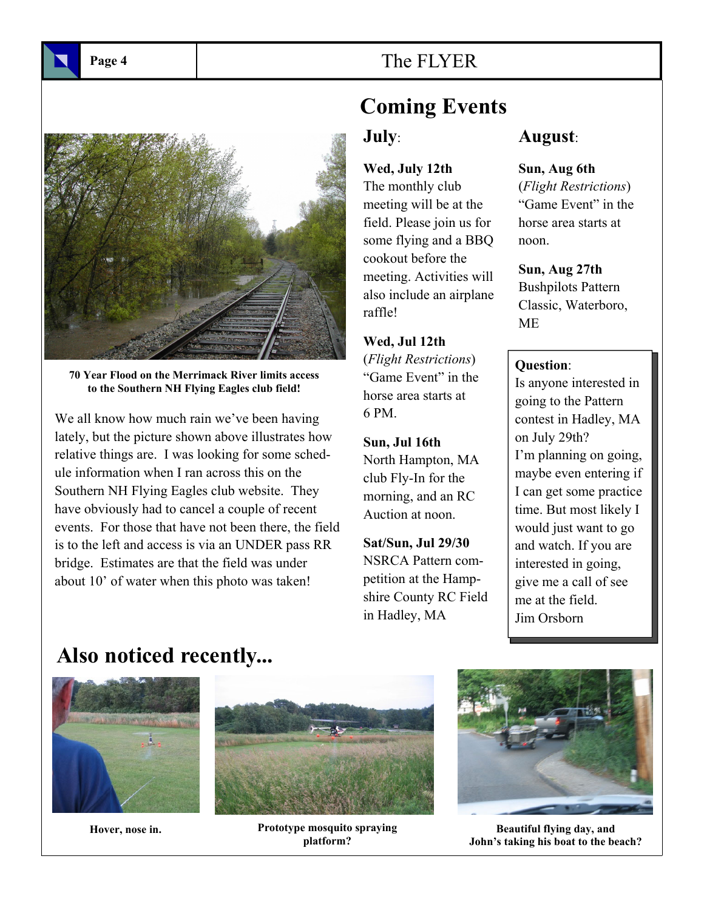Page 4 **The FLYER** 

**70 Year Flood on the Merrimack River limits access to the Southern NH Flying Eagles club field!** 

We all know how much rain we've been having lately, but the picture shown above illustrates how relative things are. I was looking for some schedule information when I ran across this on the Southern NH Flying Eagles club website. They have obviously had to cancel a couple of recent events. For those that have not been there, the field is to the left and access is via an UNDER pass RR bridge. Estimates are that the field was under about 10' of water when this photo was taken!

# **Coming Events July**:

**Wed, July 12th** 

The monthly club meeting will be at the field. Please join us for some flying and a BBQ cookout before the meeting. Activities will also include an airplane raffle!

**Wed, Jul 12th** (*Flight Restrictions*) "Game Event" in the horse area starts at 6 PM.

**Sun, Jul 16th** North Hampton, MA club Fly-In for the morning, and an RC Auction at noon.

**Sat/Sun, Jul 29/30** NSRCA Pattern competition at the Hampshire County RC Field in Hadley, MA

# **August**:

**Sun, Aug 6th**

(*Flight Restrictions*) "Game Event" in the horse area starts at noon.

**Sun, Aug 27th** Bushpilots Pattern Classic, Waterboro,

# **Question**:

ME

Is anyone interested in going to the Pattern contest in Hadley, MA on July 29th? I'm planning on going, maybe even entering if I can get some practice time. But most likely I would just want to go and watch. If you are interested in going, give me a call of see me at the field. Jim Orsborn

# **Also noticed recently...**



**Hover, nose in.** 



**Prototype mosquito spraying platform?** 



**Beautiful flying day, and John's taking his boat to the beach?**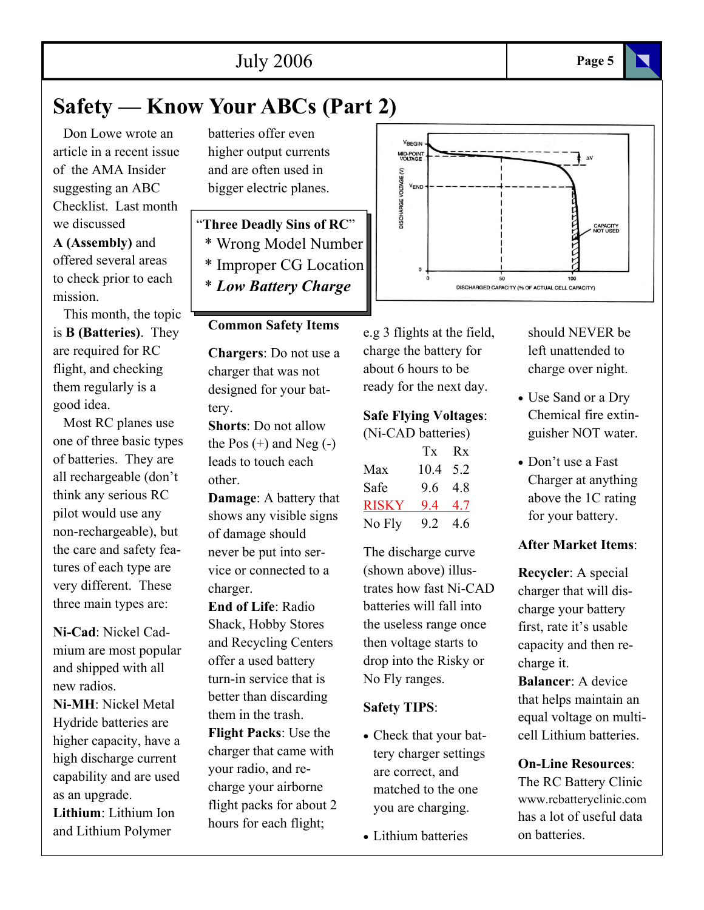# **Safety — Know Your ABCs (Part 2)**

 Don Lowe wrote an article in a recent issue of the AMA Insider suggesting an ABC Checklist. Last month we discussed **A (Assembly)** and offered several areas

to check prior to each mission.

 This month, the topic is **B (Batteries)**. They are required for RC flight, and checking them regularly is a good idea.

 Most RC planes use one of three basic types of batteries. They are all rechargeable (don't think any serious RC pilot would use any non-rechargeable), but the care and safety features of each type are very different. These three main types are:

**Ni-Cad**: Nickel Cadmium are most popular and shipped with all new radios.

**Ni-MH**: Nickel Metal Hydride batteries are higher capacity, have a high discharge current capability and are used as an upgrade.

**Lithium**: Lithium Ion and Lithium Polymer

batteries offer even higher output currents and are often used in bigger electric planes.

"**Three Deadly Sins of RC**" \* Wrong Model Number \* Improper CG Location \* *Low Battery Charge*

# **Common Safety Items**

**Chargers**: Do not use a charger that was not designed for your battery.

**Shorts**: Do not allow the Pos  $(+)$  and Neg  $(-)$ leads to touch each other.

**Damage**: A battery that shows any visible signs of damage should never be put into service or connected to a charger.

**End of Life**: Radio Shack, Hobby Stores and Recycling Centers offer a used battery turn-in service that is better than discarding them in the trash. **Flight Packs**: Use the charger that came with your radio, and recharge your airborne flight packs for about 2 hours for each flight;



e.g 3 flights at the field, charge the battery for about 6 hours to be ready for the next day.

# **Safe Flying Voltages**:

| (Ni-CAD batteries) |          |     |
|--------------------|----------|-----|
|                    | Tx Rx    |     |
| Max                | 10.4 5.2 |     |
| Safe               | 9.6 4.8  |     |
| <b>RISKY</b>       | 9.4      | 4.7 |
| No Fly             | 9.2      | 4.6 |

The discharge curve (shown above) illustrates how fast Ni-CAD batteries will fall into the useless range once then voltage starts to drop into the Risky or No Fly ranges.

# **Safety TIPS**:

- Check that your battery charger settings are correct, and matched to the one you are charging.
- Lithium batteries

should NEVER be left unattended to charge over night.

- Use Sand or a Dry Chemical fire extinguisher NOT water.
- Don't use a Fast Charger at anything above the 1C rating for your battery.

# **After Market Items**:

**Recycler**: A special charger that will discharge your battery first, rate it's usable capacity and then recharge it.

**Balancer**: A device that helps maintain an equal voltage on multicell Lithium batteries.

# **On-Line Resources**:

The RC Battery Clinic www.rcbatteryclinic.com has a lot of useful data on batteries.